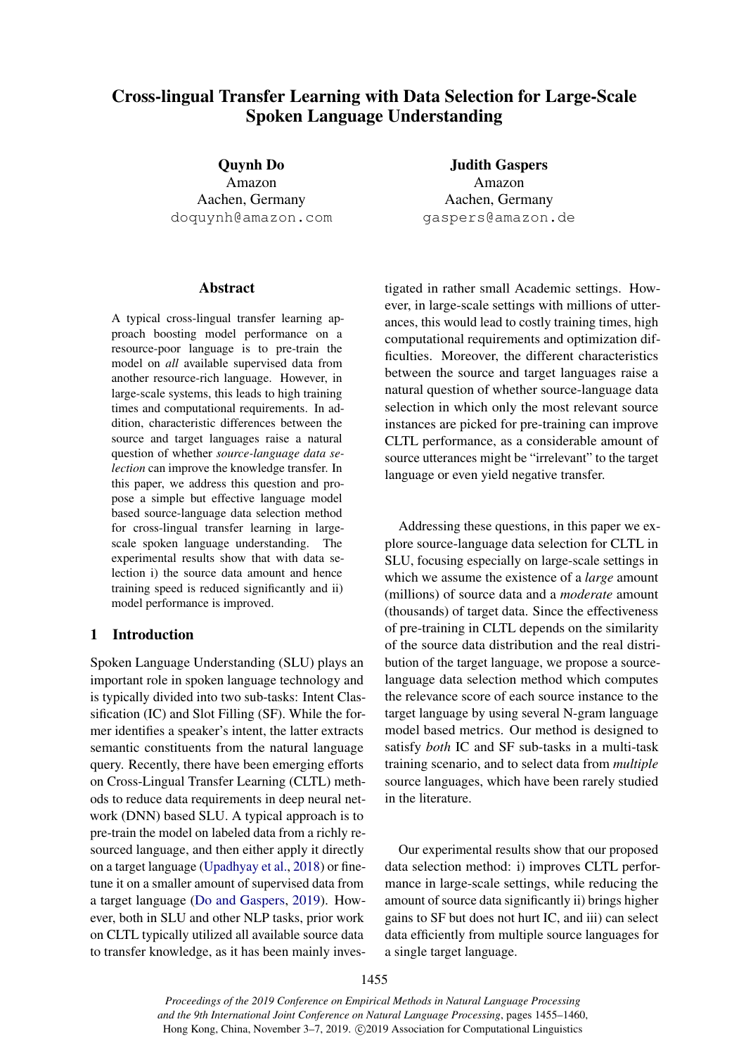# Cross-lingual Transfer Learning with Data Selection for Large-Scale Spoken Language Understanding

Quynh Do Amazon Aachen, Germany doquynh@amazon.com

# **Abstract**

A typical cross-lingual transfer learning approach boosting model performance on a resource-poor language is to pre-train the model on *all* available supervised data from another resource-rich language. However, in large-scale systems, this leads to high training times and computational requirements. In addition, characteristic differences between the source and target languages raise a natural question of whether *source-language data selection* can improve the knowledge transfer. In this paper, we address this question and propose a simple but effective language model based source-language data selection method for cross-lingual transfer learning in largescale spoken language understanding. The experimental results show that with data selection i) the source data amount and hence training speed is reduced significantly and ii) model performance is improved.

# 1 Introduction

Spoken Language Understanding (SLU) plays an important role in spoken language technology and is typically divided into two sub-tasks: Intent Classification (IC) and Slot Filling (SF). While the former identifies a speaker's intent, the latter extracts semantic constituents from the natural language query. Recently, there have been emerging efforts on Cross-Lingual Transfer Learning (CLTL) methods to reduce data requirements in deep neural network (DNN) based SLU. A typical approach is to pre-train the model on labeled data from a richly resourced language, and then either apply it directly on a target language [\(Upadhyay et al.,](#page-5-0) [2018\)](#page-5-0) or finetune it on a smaller amount of supervised data from a target language [\(Do and Gaspers,](#page-4-0) [2019\)](#page-4-0). However, both in SLU and other NLP tasks, prior work on CLTL typically utilized all available source data to transfer knowledge, as it has been mainly inves-

Judith Gaspers Amazon Aachen, Germany gaspers@amazon.de

tigated in rather small Academic settings. However, in large-scale settings with millions of utterances, this would lead to costly training times, high computational requirements and optimization difficulties. Moreover, the different characteristics between the source and target languages raise a natural question of whether source-language data selection in which only the most relevant source instances are picked for pre-training can improve CLTL performance, as a considerable amount of source utterances might be "irrelevant" to the target language or even yield negative transfer.

Addressing these questions, in this paper we explore source-language data selection for CLTL in SLU, focusing especially on large-scale settings in which we assume the existence of a *large* amount (millions) of source data and a *moderate* amount (thousands) of target data. Since the effectiveness of pre-training in CLTL depends on the similarity of the source data distribution and the real distribution of the target language, we propose a sourcelanguage data selection method which computes the relevance score of each source instance to the target language by using several N-gram language model based metrics. Our method is designed to satisfy *both* IC and SF sub-tasks in a multi-task training scenario, and to select data from *multiple* source languages, which have been rarely studied in the literature.

Our experimental results show that our proposed data selection method: i) improves CLTL performance in large-scale settings, while reducing the amount of source data significantly ii) brings higher gains to SF but does not hurt IC, and iii) can select data efficiently from multiple source languages for a single target language.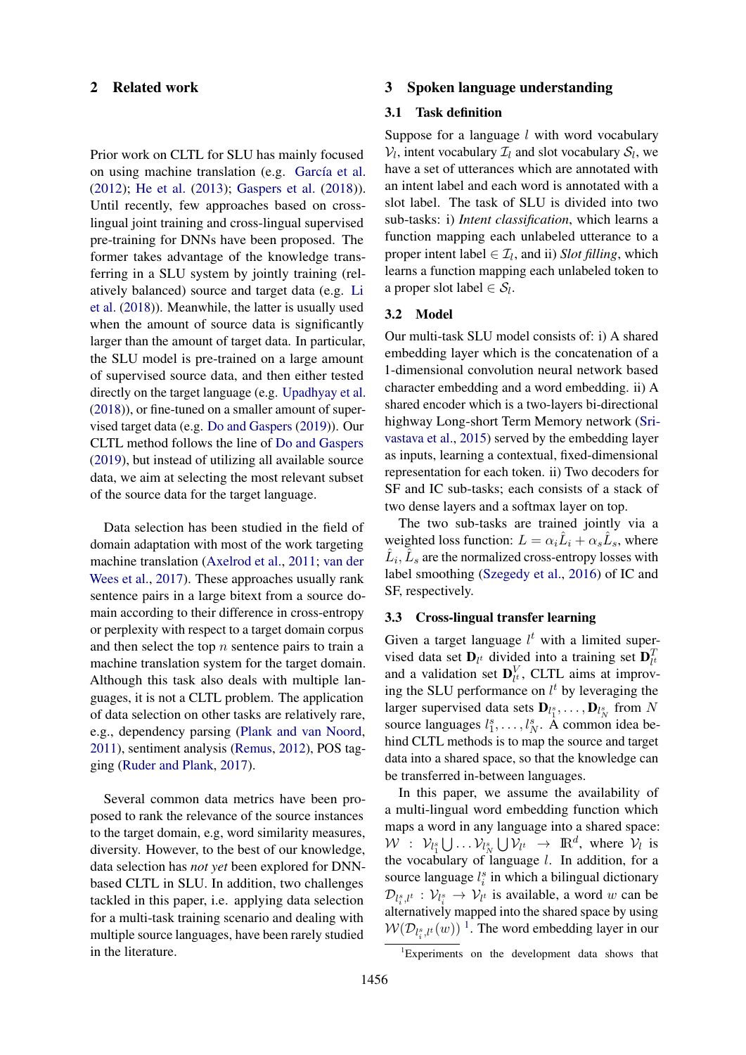# 2 Related work

Prior work on CLTL for SLU has mainly focused on using machine translation (e.g. García et al. [\(2012\)](#page-4-1); [He et al.](#page-4-2) [\(2013\)](#page-4-2); [Gaspers et al.](#page-4-3) [\(2018\)](#page-4-3)). Until recently, few approaches based on crosslingual joint training and cross-lingual supervised pre-training for DNNs have been proposed. The former takes advantage of the knowledge transferring in a SLU system by jointly training (relatively balanced) source and target data (e.g. [Li](#page-5-1) [et al.](#page-5-1) [\(2018\)](#page-5-1)). Meanwhile, the latter is usually used when the amount of source data is significantly larger than the amount of target data. In particular, the SLU model is pre-trained on a large amount of supervised source data, and then either tested directly on the target language (e.g. [Upadhyay et al.](#page-5-0) [\(2018\)](#page-5-0)), or fine-tuned on a smaller amount of supervised target data (e.g. [Do and Gaspers](#page-4-0) [\(2019\)](#page-4-0)). Our CLTL method follows the line of [Do and Gaspers](#page-4-0) [\(2019\)](#page-4-0), but instead of utilizing all available source data, we aim at selecting the most relevant subset of the source data for the target language.

Data selection has been studied in the field of domain adaptation with most of the work targeting machine translation [\(Axelrod et al.,](#page-4-4) [2011;](#page-4-4) [van der](#page-5-2) [Wees et al.,](#page-5-2) [2017\)](#page-5-2). These approaches usually rank sentence pairs in a large bitext from a source domain according to their difference in cross-entropy or perplexity with respect to a target domain corpus and then select the top  $n$  sentence pairs to train a machine translation system for the target domain. Although this task also deals with multiple languages, it is not a CLTL problem. The application of data selection on other tasks are relatively rare, e.g., dependency parsing [\(Plank and van Noord,](#page-5-3) [2011\)](#page-5-3), sentiment analysis [\(Remus,](#page-5-4) [2012\)](#page-5-4), POS tagging [\(Ruder and Plank,](#page-5-5) [2017\)](#page-5-5).

Several common data metrics have been proposed to rank the relevance of the source instances to the target domain, e.g, word similarity measures, diversity. However, to the best of our knowledge, data selection has *not yet* been explored for DNNbased CLTL in SLU. In addition, two challenges tackled in this paper, i.e. applying data selection for a multi-task training scenario and dealing with multiple source languages, have been rarely studied in the literature.

### 3 Spoken language understanding

### 3.1 Task definition

Suppose for a language  $l$  with word vocabulary  $V_l$ , intent vocabulary  $\mathcal{I}_l$  and slot vocabulary  $\mathcal{S}_l$ , we have a set of utterances which are annotated with an intent label and each word is annotated with a slot label. The task of SLU is divided into two sub-tasks: i) *Intent classification*, which learns a function mapping each unlabeled utterance to a proper intent label  $\in \mathcal{I}_l$ , and ii) *Slot filling*, which learns a function mapping each unlabeled token to a proper slot label  $\in \mathcal{S}_l$ .

### 3.2 Model

Our multi-task SLU model consists of: i) A shared embedding layer which is the concatenation of a 1-dimensional convolution neural network based character embedding and a word embedding. ii) A shared encoder which is a two-layers bi-directional highway Long-short Term Memory network [\(Sri](#page-5-6)[vastava et al.,](#page-5-6) [2015\)](#page-5-6) served by the embedding layer as inputs, learning a contextual, fixed-dimensional representation for each token. ii) Two decoders for SF and IC sub-tasks; each consists of a stack of two dense layers and a softmax layer on top.

The two sub-tasks are trained jointly via a weighted loss function:  $L = \alpha_i \hat{L}_i + \alpha_s \hat{L}_s$ , where  $\hat{L}_i, \hat{L}_s$  are the normalized cross-entropy losses with label smoothing [\(Szegedy et al.,](#page-5-7) [2016\)](#page-5-7) of IC and SF, respectively.

# 3.3 Cross-lingual transfer learning

Given a target language  $l^t$  with a limited supervised data set  $\mathbf{D}_{l^t}$  divided into a training set  $\mathbf{D}_{l^t}^T$ viscu data set  $D_l^t$  divided the a training set  $D_{l^t}$ <br>and a validation set  $D_{l^t}^V$ , CLTL aims at improving the SLU performance on  $l^t$  by leveraging the larger supervised data sets  $\mathbf{D}_{l_1^s}, \ldots, \mathbf{D}_{l_N^s}$  from N source languages  $l_1^s, \ldots, l_N^s$ . A common idea behind CLTL methods is to map the source and target data into a shared space, so that the knowledge can be transferred in-between languages.

In this paper, we assume the availability of a multi-lingual word embedding function which maps a word in any language into a shared space:  $W$  :  $\mathcal{V}_{l_1^s} \bigcup \ldots \mathcal{V}_{l_N^s} \bigcup \mathcal{V}_{l^t} \rightarrow \mathbb{R}^d$ , where  $\mathcal{V}_l$  is the vocabulary of language  $l$ . In addition, for a source language  $l_i^s$  in which a bilingual dictionary  $\mathcal{D}_{l_i^s,l^t}: \mathcal{V}_{l_i^s} \to \mathcal{V}_{l^t}$  is available, a word w can be alternatively mapped into the shared space by using  $W(\mathcal{D}_{l_i^s,t^t}(w))$ <sup>[1](#page-1-0)</sup>. The word embedding layer in our

<span id="page-1-0"></span> ${}^{1}$ Experiments on the development data shows that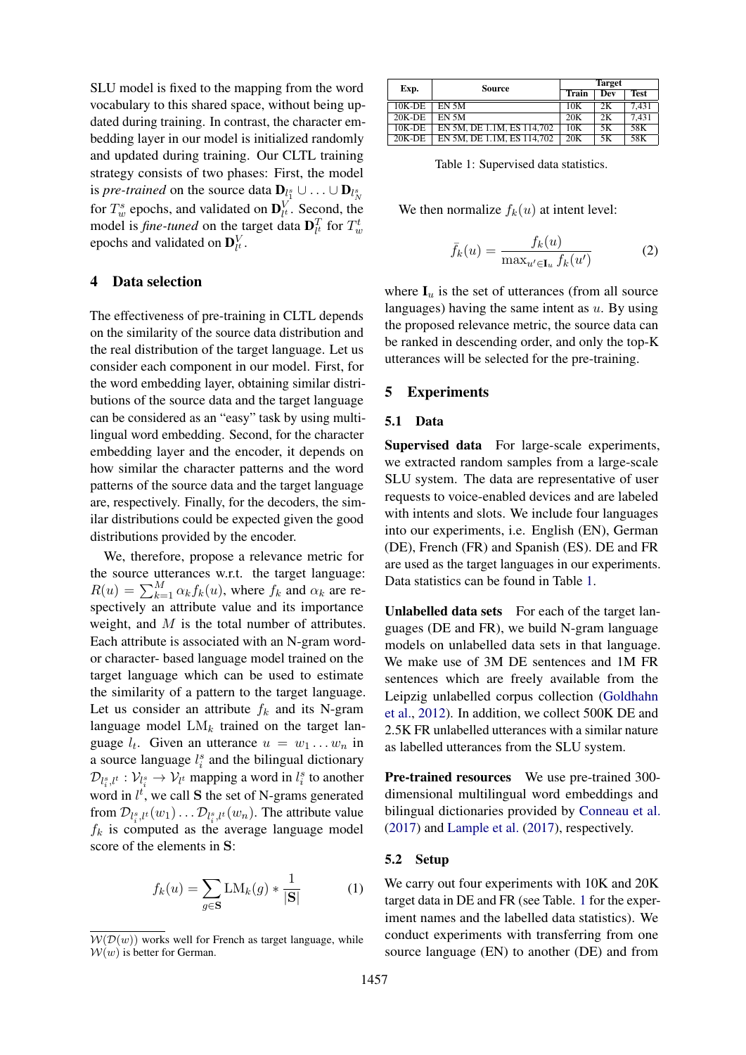SLU model is fixed to the mapping from the word vocabulary to this shared space, without being updated during training. In contrast, the character embedding layer in our model is initialized randomly and updated during training. Our CLTL training strategy consists of two phases: First, the model is *pre-trained* on the source data  $\mathbf{D}_{l_1^s} \cup \ldots \cup \mathbf{D}_{l_N^s}$ for  $T_w^s$  epochs, and validated on  $\mathbf{D}_l^V$ . Second, the model is *fine-tuned* on the target data  $\mathbf{D}_{l^t}^T$  for  $T_w^t$ epochs and validated on  $\mathbf{D}_{l^t}^V$ .

# 4 Data selection

The effectiveness of pre-training in CLTL depends on the similarity of the source data distribution and the real distribution of the target language. Let us consider each component in our model. First, for the word embedding layer, obtaining similar distributions of the source data and the target language can be considered as an "easy" task by using multilingual word embedding. Second, for the character embedding layer and the encoder, it depends on how similar the character patterns and the word patterns of the source data and the target language are, respectively. Finally, for the decoders, the similar distributions could be expected given the good distributions provided by the encoder.

We, therefore, propose a relevance metric for the source utterances w.r.t. the target language:  $R(u) = \sum_{k=1}^{M} \alpha_k f_k(u)$ , where  $f_k$  and  $\alpha_k$  are respectively an attribute value and its importance weight, and  $M$  is the total number of attributes. Each attribute is associated with an N-gram wordor character- based language model trained on the target language which can be used to estimate the similarity of a pattern to the target language. Let us consider an attribute  $f_k$  and its N-gram language model  $LM_k$  trained on the target language  $l_t$ . Given an utterance  $u = w_1 \dots w_n$  in a source language  $l_i^s$  and the bilingual dictionary  $\mathcal{D}_{l_i^s,l^t}: \mathcal{V}_{l_i^s} \to \mathcal{V}_{l^t}$  mapping a word in  $l_i^s$  to another word in  $l^t$ , we call **S** the set of N-grams generated from  $\mathcal{D}_{l_i^s,t^t}(w_1)\dots \mathcal{D}_{l_i^s,t^t}(w_n)$ . The attribute value  $f_k$  is computed as the average language model score of the elements in S:

$$
f_k(u) = \sum_{g \in \mathbf{S}} \text{LM}_k(g) * \frac{1}{|\mathbf{S}|} \tag{1}
$$

<span id="page-2-0"></span>

| Exp.      | Source                     | <b>Target</b> |            |             |
|-----------|----------------------------|---------------|------------|-------------|
|           |                            | Train         | <b>Dev</b> | <b>Test</b> |
| 10K-DE    | EN 5M                      | 10K           | 2К         | 7.431       |
| $20K-DE$  | EN 5M                      | 20K           | 2K         | 7.431       |
| $10K$ -DE | EN 5M, DE 1.1M, ES 114,702 | 10K           | 5K         | 58K         |
| $20K-DE$  | EN 5M, DE 1.1M, ES 114.702 | 20K           | 5K         | 58K         |

Table 1: Supervised data statistics.

We then normalize  $f_k(u)$  at intent level:

$$
\bar{f}_k(u) = \frac{f_k(u)}{\max_{u' \in \mathbf{I}_u} f_k(u')}
$$
 (2)

where  $I_u$  is the set of utterances (from all source languages) having the same intent as  $u$ . By using the proposed relevance metric, the source data can be ranked in descending order, and only the top-K utterances will be selected for the pre-training.

# 5 Experiments

### 5.1 Data

Supervised data For large-scale experiments, we extracted random samples from a large-scale SLU system. The data are representative of user requests to voice-enabled devices and are labeled with intents and slots. We include four languages into our experiments, i.e. English (EN), German (DE), French (FR) and Spanish (ES). DE and FR are used as the target languages in our experiments. Data statistics can be found in Table [1.](#page-2-0)

Unlabelled data sets For each of the target languages (DE and FR), we build N-gram language models on unlabelled data sets in that language. We make use of 3M DE sentences and 1M FR sentences which are freely available from the Leipzig unlabelled corpus collection [\(Goldhahn](#page-4-5) [et al.,](#page-4-5) [2012\)](#page-4-5). In addition, we collect 500K DE and 2.5K FR unlabelled utterances with a similar nature as labelled utterances from the SLU system.

Pre-trained resources We use pre-trained 300dimensional multilingual word embeddings and bilingual dictionaries provided by [Conneau et al.](#page-4-6) [\(2017\)](#page-4-6) and [Lample et al.](#page-4-7) [\(2017\)](#page-4-7), respectively.

#### 5.2 Setup

We carry out four experiments with 10K and 20K target data in DE and FR (see Table. [1](#page-2-0) for the experiment names and the labelled data statistics). We conduct experiments with transferring from one source language (EN) to another (DE) and from

 $W(D(w))$  works well for French as target language, while  $W(w)$  is better for German.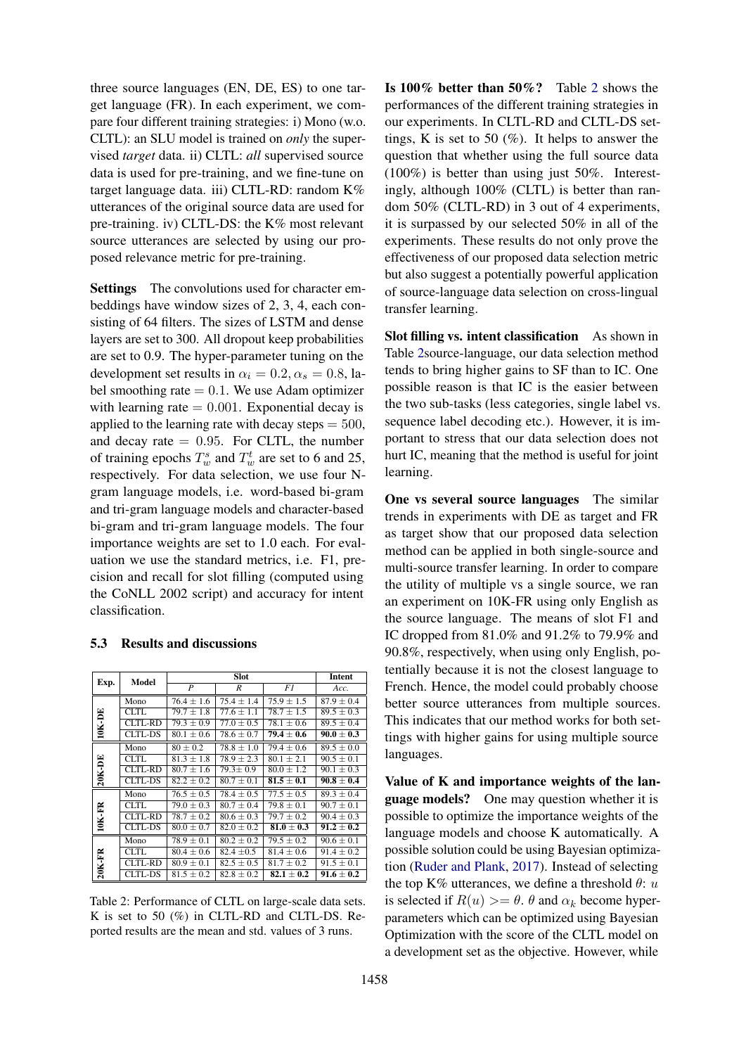three source languages (EN, DE, ES) to one target language (FR). In each experiment, we compare four different training strategies: i) Mono (w.o. CLTL): an SLU model is trained on *only* the supervised *target* data. ii) CLTL: *all* supervised source data is used for pre-training, and we fine-tune on target language data. iii) CLTL-RD: random K% utterances of the original source data are used for pre-training. iv) CLTL-DS: the K% most relevant source utterances are selected by using our proposed relevance metric for pre-training.

Settings The convolutions used for character embeddings have window sizes of 2, 3, 4, each consisting of 64 filters. The sizes of LSTM and dense layers are set to 300. All dropout keep probabilities are set to 0.9. The hyper-parameter tuning on the development set results in  $\alpha_i = 0.2, \alpha_s = 0.8$ , label smoothing rate  $= 0.1$ . We use Adam optimizer with learning rate  $= 0.001$ . Exponential decay is applied to the learning rate with decay steps  $= 500$ , and decay rate  $= 0.95$ . For CLTL, the number of training epochs  $T_w^s$  and  $T_w^t$  are set to 6 and 25, respectively. For data selection, we use four Ngram language models, i.e. word-based bi-gram and tri-gram language models and character-based bi-gram and tri-gram language models. The four importance weights are set to 1.0 each. For evaluation we use the standard metrics, i.e. F1, precision and recall for slot filling (computed using the CoNLL 2002 script) and accuracy for intent classification.

### 5.3 Results and discussions

<span id="page-3-0"></span>

|        |                | <b>Slot</b>                              |                |                | Intent         |
|--------|----------------|------------------------------------------|----------------|----------------|----------------|
| Exp.   | Model          | $\overline{P}$<br>$\boldsymbol{R}$<br>F1 |                |                | Acc.           |
|        |                |                                          |                |                |                |
| 10K-DE | Mono           | $76.4 + 1.6$                             | $75.4 + 1.4$   | $75.9 + 1.5$   | $87.9 \pm 0.4$ |
|        | CLTL.          | $79.7 + 1.8$                             | $77.6 + 1.1$   | $78.7 + 1.5$   | $89.5 + 0.3$   |
|        | CLTL-RD        | $79.3 \pm 0.9$                           | $77.0 + 0.5$   | $78.1 \pm 0.6$ | $89.5 \pm 0.4$ |
|        | CLTL-DS        | $80.1 \pm 0.6$                           | $78.6 \pm 0.7$ | $79.4 \pm 0.6$ | $90.0 \pm 0.3$ |
| 20K-DE | Mono           | $80 \pm 0.2$                             | $78.8 + 1.0$   | $79.4 \pm 0.6$ | $89.5 \pm 0.0$ |
|        | CLTL.          | $81.3 + 1.8$                             | $78.9 \pm 2.3$ | $80.1 + 2.1$   | $90.5 \pm 0.1$ |
|        | CLTL-RD        | $80.7 + 1.6$                             | $79.3 \pm 0.9$ | $80.0 \pm 1.2$ | $90.1 \pm 0.3$ |
|        | CLTL-DS        | $82.2 \pm 0.2$                           | $80.7 + 0.1$   | $81.5 + 0.1$   | $90.8 \pm 0.4$ |
| 10K-FR | Mono           | $76.5 + 0.5$                             | $78.4 + 0.5$   | $77.5 + 0.5$   | $89.3 \pm 0.4$ |
|        | CLTL.          | $79.0 \pm 0.3$                           | $80.7 \pm 0.4$ | $79.8 \pm 0.1$ | $90.7 \pm 0.1$ |
|        | <b>CLTL-RD</b> | $78.7 \pm 0.2$                           | $80.6 \pm 0.3$ | $79.7 \pm 0.2$ | $90.4 \pm 0.3$ |
|        | CLTL-DS        | $80.0 \pm 0.7$                           | $82.0 + 0.2$   | $81.0 + 0.3$   | $91.2 \pm 0.2$ |
| 20K-FR | Mono           | $78.9 \pm 0.1$                           | $80.2 + 0.2$   | $79.5 \pm 0.2$ | $90.6 \pm 0.1$ |
|        | <b>CLTL</b>    | $80.4 \pm 0.6$                           | $82.4 \pm 0.5$ | $81.4 \pm 0.6$ | $91.4 \pm 0.2$ |
|        | CLTL-RD        | $80.9 \pm 0.1$                           | $82.5 \pm 0.5$ | $81.7 \pm 0.2$ | $91.5 + 0.1$   |
|        | <b>CLTL-DS</b> | $81.5 \pm 0.2$                           | $82.8 \pm 0.2$ | $82.1 + 0.2$   | $91.6 \pm 0.2$ |

Table 2: Performance of CLTL on large-scale data sets. K is set to 50 (%) in CLTL-RD and CLTL-DS. Reported results are the mean and std. values of 3 runs.

Is 100% better than 50%? Table [2](#page-3-0) shows the performances of the different training strategies in our experiments. In CLTL-RD and CLTL-DS settings, K is set to 50  $(\%)$ . It helps to answer the question that whether using the full source data (100%) is better than using just 50%. Interestingly, although 100% (CLTL) is better than random 50% (CLTL-RD) in 3 out of 4 experiments, it is surpassed by our selected 50% in all of the experiments. These results do not only prove the effectiveness of our proposed data selection metric but also suggest a potentially powerful application of source-language data selection on cross-lingual transfer learning.

Slot filling vs. intent classification As shown in Table [2s](#page-3-0)ource-language, our data selection method tends to bring higher gains to SF than to IC. One possible reason is that IC is the easier between the two sub-tasks (less categories, single label vs. sequence label decoding etc.). However, it is important to stress that our data selection does not hurt IC, meaning that the method is useful for joint learning.

One vs several source languages The similar trends in experiments with DE as target and FR as target show that our proposed data selection method can be applied in both single-source and multi-source transfer learning. In order to compare the utility of multiple vs a single source, we ran an experiment on 10K-FR using only English as the source language. The means of slot F1 and IC dropped from 81.0% and 91.2% to 79.9% and 90.8%, respectively, when using only English, potentially because it is not the closest language to French. Hence, the model could probably choose better source utterances from multiple sources. This indicates that our method works for both settings with higher gains for using multiple source languages.

Value of K and importance weights of the language models? One may question whether it is possible to optimize the importance weights of the language models and choose K automatically. A possible solution could be using Bayesian optimization [\(Ruder and Plank,](#page-5-5) [2017\)](#page-5-5). Instead of selecting the top K% utterances, we define a threshold  $\theta$ : u is selected if  $R(u) >= \theta$ .  $\theta$  and  $\alpha_k$  become hyperparameters which can be optimized using Bayesian Optimization with the score of the CLTL model on a development set as the objective. However, while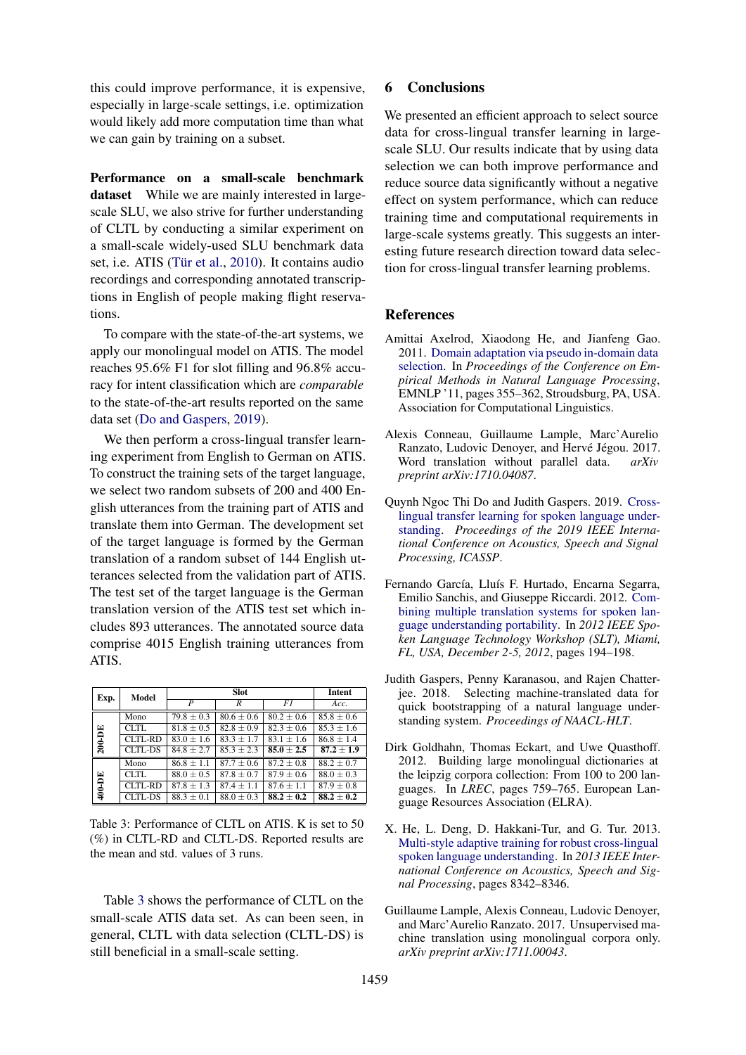this could improve performance, it is expensive, especially in large-scale settings, i.e. optimization would likely add more computation time than what we can gain by training on a subset.

Performance on a small-scale benchmark dataset While we are mainly interested in largescale SLU, we also strive for further understanding of CLTL by conducting a similar experiment on a small-scale widely-used SLU benchmark data set, i.e. ATIS (Tür et al., [2010\)](#page-5-8). It contains audio recordings and corresponding annotated transcriptions in English of people making flight reservations.

To compare with the state-of-the-art systems, we apply our monolingual model on ATIS. The model reaches 95.6% F1 for slot filling and 96.8% accuracy for intent classification which are *comparable* to the state-of-the-art results reported on the same data set [\(Do and Gaspers,](#page-4-0) [2019\)](#page-4-0).

We then perform a cross-lingual transfer learning experiment from English to German on ATIS. To construct the training sets of the target language, we select two random subsets of 200 and 400 English utterances from the training part of ATIS and translate them into German. The development set of the target language is formed by the German translation of a random subset of 144 English utterances selected from the validation part of ATIS. The test set of the target language is the German translation version of the ATIS test set which includes 893 utterances. The annotated source data comprise 4015 English training utterances from ATIS.

<span id="page-4-8"></span>

| Exp.   | Model          | <b>Slot</b>      |                |                | Intent         |
|--------|----------------|------------------|----------------|----------------|----------------|
|        |                | $\boldsymbol{P}$ | R              | F1             | Acc.           |
| 200-DE | Mono           | $79.8 \pm 0.3$   | $80.6 + 0.6$   | $80.2 + 0.6$   | $85.8 + 0.6$   |
|        | <b>CLTL</b>    | $81.8 \pm 0.5$   | $82.8 \pm 0.9$ | $82.3 \pm 0.6$ | $85.3 + 1.6$   |
|        | CLTL-RD        | $83.0 + 1.6$     | $83.3 + 1.7$   | $83.1 + 1.6$   | $86.8 + 1.4$   |
|        | <b>CLTL-DS</b> | $84.8 \pm 2.7$   | $85.3 \pm 2.3$ | $85.0 \pm 2.5$ | $87.2 \pm 1.9$ |
| 400-DE | Mono           | $86.8 + 1.1$     | $87.7 + 0.6$   | $87.2 \pm 0.8$ | $88.2 + 0.7$   |
|        | CLTL.          | $88.0 + 0.5$     | $87.8 + 0.7$   | $87.9 + 0.6$   | $88.0 \pm 0.3$ |
|        | CLTL-RD        | $87.8 + 1.3$     | $87.4 + 1.1$   | $87.6 \pm 1.1$ | $87.9 \pm 0.8$ |
|        | <b>CLTL-DS</b> | $88.3 + 0.1$     | $88.0 + 0.3$   | $88.2 + 0.2$   | $88.2 \pm 0.2$ |

Table 3: Performance of CLTL on ATIS. K is set to 50 (%) in CLTL-RD and CLTL-DS. Reported results are the mean and std. values of 3 runs.

Table [3](#page-4-8) shows the performance of CLTL on the small-scale ATIS data set. As can been seen, in general, CLTL with data selection (CLTL-DS) is still beneficial in a small-scale setting.

# 6 Conclusions

We presented an efficient approach to select source data for cross-lingual transfer learning in largescale SLU. Our results indicate that by using data selection we can both improve performance and reduce source data significantly without a negative effect on system performance, which can reduce training time and computational requirements in large-scale systems greatly. This suggests an interesting future research direction toward data selection for cross-lingual transfer learning problems.

### References

- <span id="page-4-4"></span>Amittai Axelrod, Xiaodong He, and Jianfeng Gao. 2011. [Domain adaptation via pseudo in-domain data](http://dl.acm.org/citation.cfm?id=2145432.2145474) [selection.](http://dl.acm.org/citation.cfm?id=2145432.2145474) In *Proceedings of the Conference on Empirical Methods in Natural Language Processing*, EMNLP '11, pages 355–362, Stroudsburg, PA, USA. Association for Computational Linguistics.
- <span id="page-4-6"></span>Alexis Conneau, Guillaume Lample, Marc'Aurelio Ranzato, Ludovic Denoyer, and Hervé Jégou. 2017. Word translation without parallel data. *arXiv preprint arXiv:1710.04087*.
- <span id="page-4-0"></span>Quynh Ngoc Thi Do and Judith Gaspers. 2019. [Cross](http://arxiv.org/abs/1904.01825)[lingual transfer learning for spoken language under](http://arxiv.org/abs/1904.01825)[standing.](http://arxiv.org/abs/1904.01825) *Proceedings of the 2019 IEEE International Conference on Acoustics, Speech and Signal Processing, ICASSP*.
- <span id="page-4-1"></span>Fernando García, Lluís F. Hurtado, Encarna Segarra, Emilio Sanchis, and Giuseppe Riccardi. 2012. [Com](https://doi.org/10.1109/SLT.2012.6424221)[bining multiple translation systems for spoken lan](https://doi.org/10.1109/SLT.2012.6424221)[guage understanding portability.](https://doi.org/10.1109/SLT.2012.6424221) In *2012 IEEE Spoken Language Technology Workshop (SLT), Miami, FL, USA, December 2-5, 2012*, pages 194–198.
- <span id="page-4-3"></span>Judith Gaspers, Penny Karanasou, and Rajen Chatterjee. 2018. Selecting machine-translated data for quick bootstrapping of a natural language understanding system. *Proceedings of NAACL-HLT*.
- <span id="page-4-5"></span>Dirk Goldhahn, Thomas Eckart, and Uwe Quasthoff. 2012. Building large monolingual dictionaries at the leipzig corpora collection: From 100 to 200 languages. In *LREC*, pages 759–765. European Language Resources Association (ELRA).
- <span id="page-4-2"></span>X. He, L. Deng, D. Hakkani-Tur, and G. Tur. 2013. [Multi-style adaptive training for robust cross-lingual](https://doi.org/10.1109/ICASSP.2013.6639292) [spoken language understanding.](https://doi.org/10.1109/ICASSP.2013.6639292) In *2013 IEEE International Conference on Acoustics, Speech and Signal Processing*, pages 8342–8346.
- <span id="page-4-7"></span>Guillaume Lample, Alexis Conneau, Ludovic Denoyer, and Marc'Aurelio Ranzato. 2017. Unsupervised machine translation using monolingual corpora only. *arXiv preprint arXiv:1711.00043*.